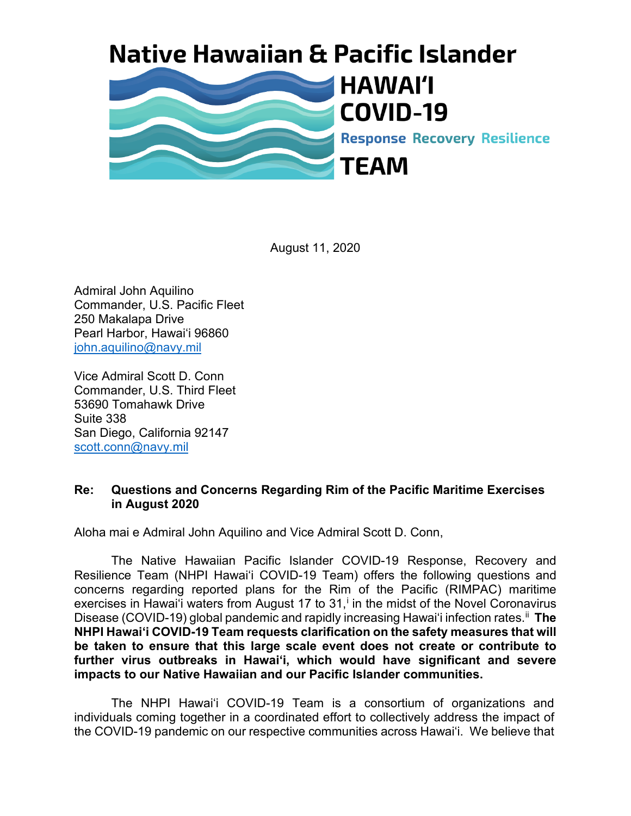## **Native Hawaiian & Pacific Islander**



August 11, 2020

Admiral John Aquilino Commander, U.S. Pacific Fleet 250 Makalapa Drive Pearl Harbor, Hawai'i 96860 [john.aquilino@navy.mil](mailto:John.aquilino@navy.mil)

Vice Admiral Scott D. Conn Commander, U.S. Third Fleet 53690 Tomahawk Drive Suite 338 San Diego, California 92147 [scott.conn@navy.mil](mailto:scott.conn@navy.mil)

## **Re: Questions and Concerns Regarding Rim of the Pacific Maritime Exercises in August 2020**

Aloha mai e Admiral John Aquilino and Vice Admiral Scott D. Conn,

The Native Hawaiian Pacific Islander COVID-19 Response, Recovery and Resilience Team (NHPI Hawai'i COVID-19 Team) offers the following questions and concerns regarding reported plans for the Rim of the Pacific (RIMPAC) maritime exerc[i](#page-4-0)ses in Hawai'i waters from August 17 to  $31<sup>i</sup>$  in the midst of the Novel Coronavirus Disease (COVID-19) global pandemic and rapidly increasing Hawaiʻi infection rates. [ii](#page-4-1) **The NHPI Hawai'i COVID-19 Team requests clarification on the safety measures that will be taken to ensure that this large scale event does not create or contribute to further virus outbreaks in Hawaiʻi, which would have significant and severe impacts to our Native Hawaiian and our Pacific Islander communities.**

The NHPI Hawai'i COVID-19 Team is a consortium of organizations and individuals coming together in a coordinated effort to collectively address the impact of the COVID-19 pandemic on our respective communities across Hawaiʻi. We believe that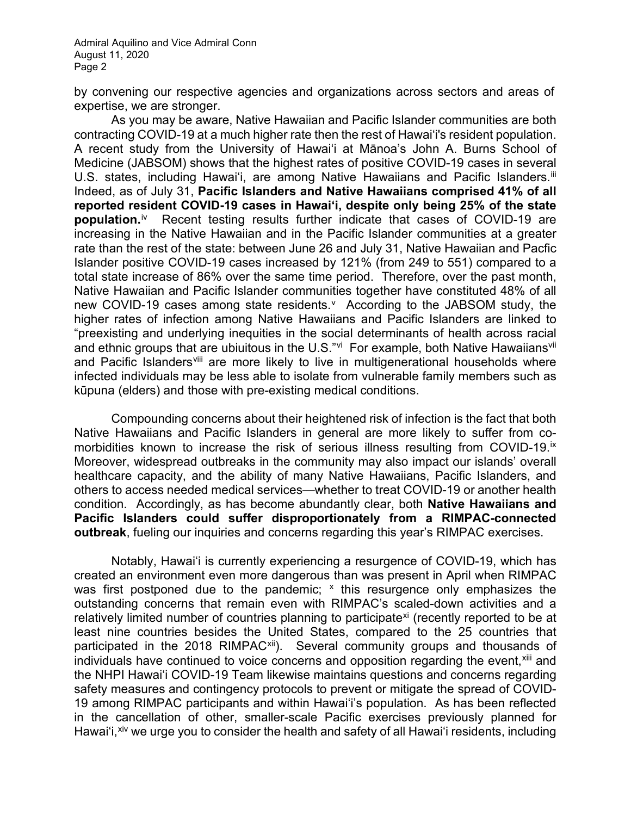Admiral Aquilino and Vice Admiral Conn August 11, 2020 Page 2

by convening our respective agencies and organizations across sectors and areas of expertise, we are stronger.

As you may be aware, Native Hawaiian and Pacific Islander communities are both contracting COVID-19 at a much higher rate then the rest of Hawai'i's resident population. A recent study from the University of Hawaiʻi at Mānoa's John A. Burns School of Medicine (JABSOM) shows that the highest rates of positive COVID-19 cases in several U.S. states, including Hawai'i, are among Native Hawaiians and Pacific Islanders.<sup>[iii](#page-5-0)</sup> Indeed, as of July 31, **Pacific Islanders and Native Hawaiians comprised 41% of all reported resident COVID-19 cases in Hawaiʻi, despite only being 25% of the state population.**[iv](#page-5-1) Recent testing results further indicate that cases of COVID-19 are increasing in the Native Hawaiian and in the Pacific Islander communities at a greater rate than the rest of the state: between June 26 and July 31, Native Hawaiian and Pacfic Islander positive COVID-19 cases increased by 121% (from 249 to 551) compared to a total state increase of 86% over the same time period. Therefore, over the past month, Native Hawaiian and Pacific Islander communities together have constituted 48% of all new COVID-19 cases among state residents. According to the JABSOM study, the higher rates of infection among Native Hawaiians and Pacific Islanders are linked to "preexisting and underlying inequities in the social determinants of health across racial and ethnic groups that are ubiuitous in the U.S."[vi](#page-5-3) For example, both Native Hawaiians<sup>vii</sup> and Pacific Islanders<sup>viii</sup> are more likely to live in multigenerational households where infected individuals may be less able to isolate from vulnerable family members such as kūpuna (elders) and those with pre-existing medical conditions.

Compounding concerns about their heightened risk of infection is the fact that both Native Hawaiians and Pacific Islanders in general are more likely to suffer from comorbidities known to increase the risk of serious illness resulting from COVID-19.<sup>[ix](#page-5-6)</sup> Moreover, widespread outbreaks in the community may also impact our islands' overall healthcare capacity, and the ability of many Native Hawaiians, Pacific Islanders, and others to access needed medical services—whether to treat COVID-19 or another health condition. Accordingly, as has become abundantly clear, both **Native Hawaiians and Pacific Islanders could suffer disproportionately from a RIMPAC-connected outbreak**, fueling our inquiries and concerns regarding this year's RIMPAC exercises.

Notably, Hawai'i is currently experiencing a resurgence of COVID-19, which has created an environment even more dangerous than was present in April when RIMPAC was first postponed due to the pandemic;  $x$  this resurgence only emphasizes the outstanding concerns that remain even with RIMPAC's scaled-down activities and a relatively limited number of countries planning to participate<sup>[xi](#page-5-8)</sup> (recently reported to be at least nine countries besides the United States, compared to the 25 countries that participated in the 2018 RIMPAC<sup>[xii](#page-5-9)</sup>). Several community groups and thousands of individuals have continued to voice concerns and opposition regarding the event, <sup>[xiii](#page-5-10)</sup> and the NHPI Hawai'i COVID-19 Team likewise maintains questions and concerns regarding safety measures and contingency protocols to prevent or mitigate the spread of COVID-19 among RIMPAC participants and within Hawai'i's population. As has been reflected in the cancellation of other, smaller-scale Pacific exercises previously planned for Hawaiʻi,<sup>[xiv](#page-5-11)</sup> we urge you to consider the health and safety of all Hawaiʻi residents, including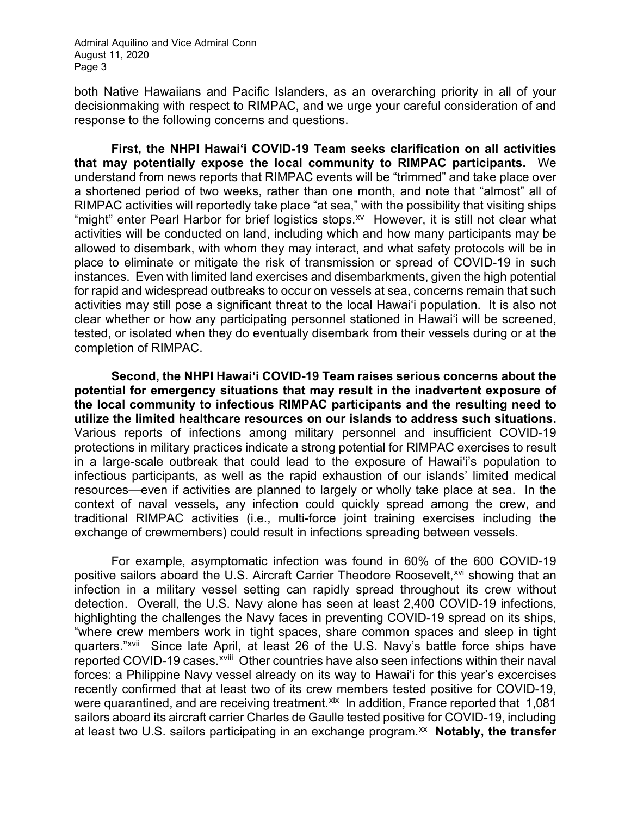Admiral Aquilino and Vice Admiral Conn August 11, 2020 Page 3

both Native Hawaiians and Pacific Islanders, as an overarching priority in all of your decisionmaking with respect to RIMPAC, and we urge your careful consideration of and response to the following concerns and questions.

**First, the NHPI Hawai'i COVID-19 Team seeks clarification on all activities that may potentially expose the local community to RIMPAC participants.** We understand from news reports that RIMPAC events will be "trimmed" and take place over a shortened period of two weeks, rather than one month, and note that "almost" all of RIMPAC activities will reportedly take place "at sea," with the possibility that visiting ships "might" enter Pearl Harbor for brief logistics stops.<sup>xv</sup> However, it is still not clear what activities will be conducted on land, including which and how many participants may be allowed to disembark, with whom they may interact, and what safety protocols will be in place to eliminate or mitigate the risk of transmission or spread of COVID-19 in such instances. Even with limited land exercises and disembarkments, given the high potential for rapid and widespread outbreaks to occur on vessels at sea, concerns remain that such activities may still pose a significant threat to the local Hawaiʻi population. It is also not clear whether or how any participating personnel stationed in Hawaiʻi will be screened, tested, or isolated when they do eventually disembark from their vessels during or at the completion of RIMPAC.

**Second, the NHPI Hawai'i COVID-19 Team raises serious concerns about the potential for emergency situations that may result in the inadvertent exposure of the local community to infectious RIMPAC participants and the resulting need to utilize the limited healthcare resources on our islands to address such situations.**  Various reports of infections among military personnel and insufficient COVID-19 protections in military practices indicate a strong potential for RIMPAC exercises to result in a large-scale outbreak that could lead to the exposure of Hawai'i's population to infectious participants, as well as the rapid exhaustion of our islands' limited medical resources—even if activities are planned to largely or wholly take place at sea. In the context of naval vessels, any infection could quickly spread among the crew, and traditional RIMPAC activities (i.e., multi-force joint training exercises including the exchange of crewmembers) could result in infections spreading between vessels.

For example, asymptomatic infection was found in 60% of the 600 COVID-19 positive sailors aboard the U.S. Aircraft Carrier Theodore Roosevelt,<sup>[xvi](#page-6-0)</sup> showing that an infection in a military vessel setting can rapidly spread throughout its crew without detection. Overall, the U.S. Navy alone has seen at least 2,400 COVID-19 infections, highlighting the challenges the Navy faces in preventing COVID-19 spread on its ships, "where crew members work in tight spaces, share common spaces and sleep in tight quarters."[xvii](#page-6-1) Since late Apr[il](#page-6-2), at least 26 of the U.S. Navy's battle force ships have reported COVID-19 cases.<sup>xviii</sup> Other countries have also seen infections within their naval forces: a Philippine Navy vessel already on its way to Hawaiʻi for this year's excercises recently confirmed that at least two of its crew members tested positive for COVID-19, were quarantined, and are receiving treatment.<sup>[xix](#page-6-3)</sup> In addition, France reported that 1,081 sailors aboard its aircraft carrier Charles de Gaulle tested positive for COVID-19, including at least two U.S. sailors participating in an exchange program.<sup>xx</sup> Notably, the transfer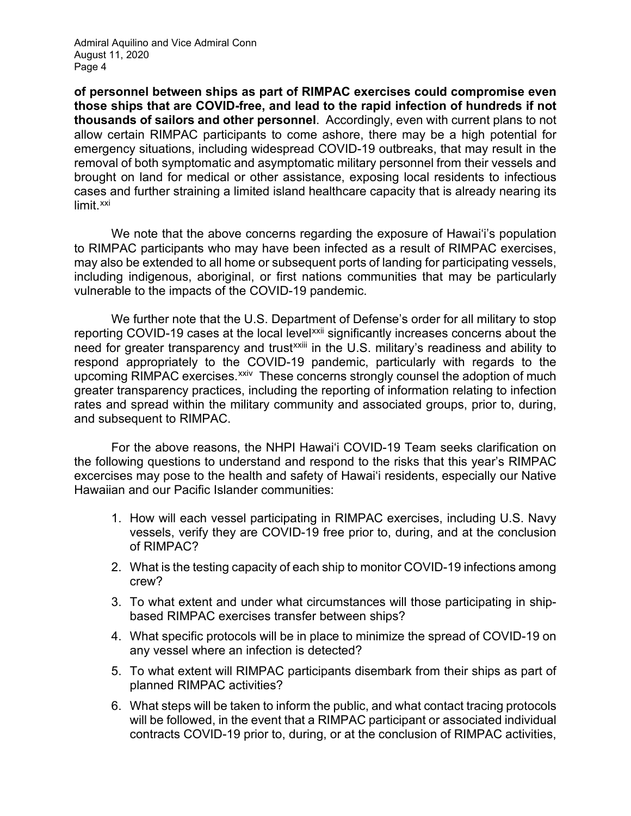Admiral Aquilino and Vice Admiral Conn August 11, 2020 Page 4

**of personnel between ships as part of RIMPAC exercises could compromise even those ships that are COVID-free, and lead to the rapid infection of hundreds if not thousands of sailors and other personnel**. Accordingly, even with current plans to not allow certain RIMPAC participants to come ashore, there may be a high potential for emergency situations, including widespread COVID-19 outbreaks, that may result in the removal of both symptomatic and asymptomatic military personnel from their vessels and brought on land for medical or other assistance, exposing local residents to infectious cases and further straining a limited island healthcare capacity that is already nearing its limit.<sup>[xxi](#page-6-5)</sup>

We note that the above concerns regarding the exposure of Hawai'i's population to RIMPAC participants who may have been infected as a result of RIMPAC exercises, may also be extended to all home or subsequent ports of landing for participating vessels, including indigenous, aboriginal, or first nations communities that may be particularly vulnerable to the impacts of the COVID-19 pandemic.

We further note that the U.S. Department of Defense's order for all military to stop reporting COVID-19 cases at the local lev[el](#page-6-7)[xxii](#page-6-6) significantly increases concerns about the need for greater transparency and trustxxiii in the U.S. military's readiness and ability to respond appropriately to the COVID-19 pandemic, particularly with regards to the upcoming RIMPAC exercises.<sup>[xxiv](#page-6-8)</sup> These concerns strongly counsel the adoption of much greater transparency practices, including the reporting of information relating to infection rates and spread within the military community and associated groups, prior to, during, and subsequent to RIMPAC.

For the above reasons, the NHPI Hawai'i COVID-19 Team seeks clarification on the following questions to understand and respond to the risks that this year's RIMPAC excercises may pose to the health and safety of Hawaiʻi residents, especially our Native Hawaiian and our Pacific Islander communities:

- 1. How will each vessel participating in RIMPAC exercises, including U.S. Navy vessels, verify they are COVID-19 free prior to, during, and at the conclusion of RIMPAC?
- 2. What is the testing capacity of each ship to monitor COVID-19 infections among crew?
- 3. To what extent and under what circumstances will those participating in shipbased RIMPAC exercises transfer between ships?
- 4. What specific protocols will be in place to minimize the spread of COVID-19 on any vessel where an infection is detected?
- 5. To what extent will RIMPAC participants disembark from their ships as part of planned RIMPAC activities?
- 6. What steps will be taken to inform the public, and what contact tracing protocols will be followed, in the event that a RIMPAC participant or associated individual contracts COVID-19 prior to, during, or at the conclusion of RIMPAC activities,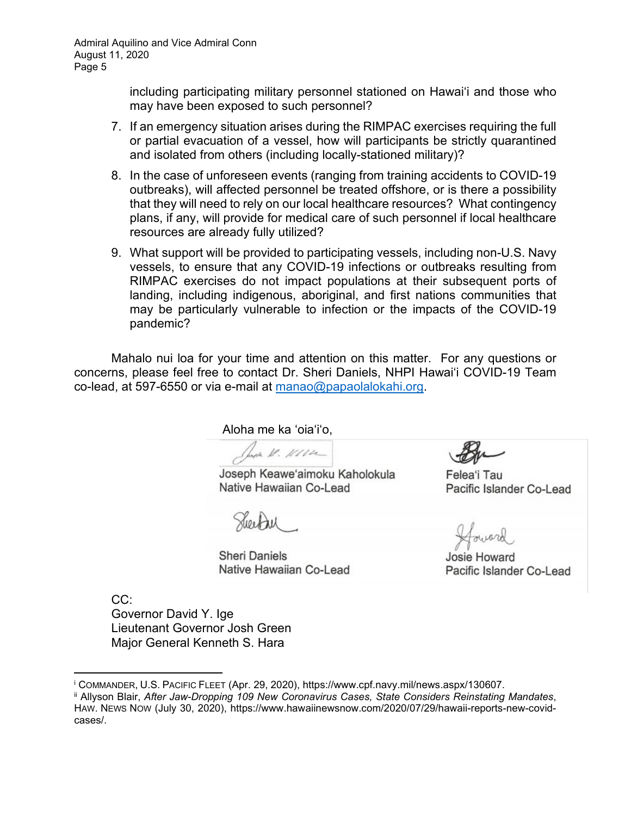including participating military personnel stationed on Hawai'i and those who may have been exposed to such personnel?

- 7. If an emergency situation arises during the RIMPAC exercises requiring the full or partial evacuation of a vessel, how will participants be strictly quarantined and isolated from others (including locally-stationed military)?
- 8. In the case of unforeseen events (ranging from training accidents to COVID-19 outbreaks), will affected personnel be treated offshore, or is there a possibility that they will need to rely on our local healthcare resources? What contingency plans, if any, will provide for medical care of such personnel if local healthcare resources are already fully utilized?
- 9. What support will be provided to participating vessels, including non-U.S. Navy vessels, to ensure that any COVID-19 infections or outbreaks resulting from RIMPAC exercises do not impact populations at their subsequent ports of landing, including indigenous, aboriginal, and first nations communities that may be particularly vulnerable to infection or the impacts of the COVID-19 pandemic?

Mahalo nui loa for your time and attention on this matter. For any questions or concerns, please feel free to contact Dr. Sheri Daniels, NHPI Hawai'i COVID-19 Team co-lead, at 597-6550 or via e-mail at [manao@papaolalokahi.org.](mailto:sylviah@oha.org)

Aloha me ka ʻoiaʻiʻo,

Jana 1. 1111

Joseph Keawe'aimoku Kaholokula Native Hawaiian Co-Lead

**Sheri Daniels** Native Hawaiian Co-Lead

Felea'i Tau Pacific Islander Co-Lead

Josie Howard Pacific Islander Co-Lead

CC: Governor David Y. Ige Lieutenant Governor Josh Green Major General Kenneth S. Hara

<span id="page-4-0"></span><sup>i</sup> COMMANDER, U.S. PACIFIC FLEET (Apr. 29, 2020), https://www.cpf.navy.mil/news.aspx/130607.

<span id="page-4-1"></span>ii Allyson Blair, *After Jaw-Dropping 109 New Coronavirus Cases, State Considers Reinstating Mandates*, HAW. NEWS NOW (July 30, 2020), https://www.hawaiinewsnow.com/2020/07/29/hawaii-reports-new-covidcases/.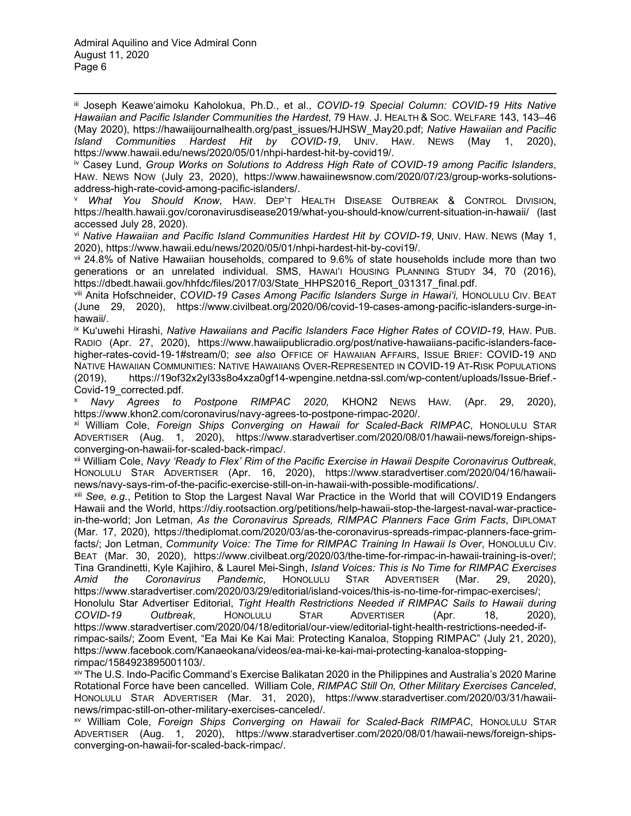<span id="page-5-0"></span>iii Joseph Keaweʻaimoku Kaholokua, Ph.D., et al., *COVID-19 Special Column: COVID-19 Hits Native Hawaiian and Pacific Islander Communities the Hardest*, 79 HAW. J. HEALTH & SOC. WELFARE 143, 143–46 (May 2020), https://hawaiijournalhealth.org/past\_issues/HJHSW\_May20.pdf; *Native Hawaiian and Pacific Island Communities Hardest Hit by COVID-19*, UNIV. HAW. NEWS (May 1, 2020), https://www.hawaii.edu/news/2020/05/01/nhpi-hardest-hit-by-covid19/.

<span id="page-5-1"></span>iv Casey Lund, *Group Works on Solutions to Address High Rate of COVID-19 among Pacific Islanders*, HAW. NEWS NOW (July 23, 2020), https://www.hawaiinewsnow.com/2020/07/23/group-works-solutionsaddress-high-rate-covid-among-pacific-islanders/.

<span id="page-5-2"></span><sup>v</sup> *What You Should Know*, HAW. DEP'T HEALTH DISEASE OUTBREAK & CONTROL DIVISION, https://health.hawaii.gov/coronavirusdisease2019/what-you-should-know/current-situation-in-hawaii/ (last accessed July 28, 2020).

<span id="page-5-3"></span>vi *Native Hawaiian and Pacific Island Communities Hardest Hit by COVID-19*, UNIV. HAW. NEWS (May 1, 2020), https://www.hawaii.edu/news/2020/05/01/nhpi-hardest-hit-by-covi19/.

<span id="page-5-4"></span>vii 24.8% of Native Hawaiian households, compared to 9.6% of state households include more than two generations or an unrelated individual. SMS, HAWAI'I HOUSING PLANNING STUDY 34, 70 (2016), https://dbedt.hawaii.gov/hhfdc/files/2017/03/State\_HHPS2016\_Report\_031317\_final.pdf.

<span id="page-5-5"></span>viii Anita Hofschneider, *COVID-19 Cases Among Pacific Islanders Surge in Hawai'i,* HONOLULU CIV. BEAT (June 29, 2020), https://www.civilbeat.org/2020/06/covid-19-cases-among-pacific-islanders-surge-inhawaii/.

<span id="page-5-6"></span>ix Ku'uwehi Hirashi, *Native Hawaiians and Pacific Islanders Face Higher Rates of COVID-19*, HAW. PUB. RADIO (Apr. 27, 2020), https://www.hawaiipublicradio.org/post/native-hawaiians-pacific-islanders-facehigher-rates-covid-19-1#stream/0; *see also* OFFICE OF HAWAIIAN AFFAIRS, ISSUE BRIEF: COVID-19 AND NATIVE HAWAIIAN COMMUNITIES: NATIVE HAWAIIANS OVER-REPRESENTED IN COVID-19 AT-RISK POPULATIONS (2019), https://19of32x2yl33s8o4xza0gf14-wpengine.netdna-ssl.com/wp-content/uploads/Issue-Brief.- Covid-19\_corrected.pdf.

<span id="page-5-7"></span><sup>x</sup> *Navy Agrees to Postpone RIMPAC 2020,* KHON2 NEWS HAW. (Apr. 29, 2020), https://www.khon2.com/coronavirus/navy-agrees-to-postpone-rimpac-2020/.<br><sup>xi</sup> William Cole, *Foreign Ships Converging on Hawaii for Scaled-Back RIMPAC*, HonoLuLu STAR

<span id="page-5-8"></span>ADVERTISER (Aug. 1, 2020), https://www.staradvertiser.com/2020/08/01/hawaii-news/foreign-shipsconverging-on-hawaii-for-scaled-back-rimpac/.

<span id="page-5-9"></span>xii William Cole, *Navy 'Ready to Flex' Rim of the Pacific Exercise in Hawaii Despite Coronavirus Outbreak*, HONOLULU STAR ADVERTISER (Apr. 16, 2020), https://www.staradvertiser.com/2020/04/16/hawaiinews/navy-says-rim-of-the-pacific-exercise-still-on-in-hawaii-with-possible-modifications/.

<span id="page-5-10"></span>xiii *See, e.g.*, Petition to Stop the Largest Naval War Practice in the World that will COVID19 Endangers Hawaii and the World, https://diy.rootsaction.org/petitions/help-hawaii-stop-the-largest-naval-war-practicein-the-world; Jon Letman, *As the Coronavirus Spreads, RIMPAC Planners Face Grim Facts*, DIPLOMAT (Mar. 17, 2020), https://thediplomat.com/2020/03/as-the-coronavirus-spreads-rimpac-planners-face-grimfacts/; Jon Letman, *Community Voice: The Time for RIMPAC Training In Hawaii Is Over*, HONOLULU CIV. BEAT (Mar. 30, 2020), https://www.civilbeat.org/2020/03/the-time-for-rimpac-in-hawaii-training-is-over/; Tina Grandinetti, Kyle Kajihiro, & Laurel Mei-Singh, *Island Voices: This is No Time for RIMPAC Exercises Amid the Coronavirus Pandemic*, HONOLULU STAR ADVERTISER (Mar. 29, 2020), https://www.staradvertiser.com/2020/03/29/editorial/island-voices/this-is-no-time-for-rimpac-exercises/; Honolulu Star Advertiser Editorial, *Tight Health Restrictions Needed if RIMPAC Sails to Hawaii during COVID-19 Outbreak*, HONOLULU STAR ADVERTISER (Apr. 18, 2020), https://www.staradvertiser.com/2020/04/18/editorial/our-view/editorial-tight-health-restrictions-needed-ifrimpac-sails/; Zoom Event, "Ea Mai Ke Kai Mai: Protecting Kanaloa, Stopping RIMPAC" (July 21, 2020), https://www.facebook.com/Kanaeokana/videos/ea-mai-ke-kai-mai-protecting-kanaloa-stopping-

<span id="page-5-11"></span>rimpac/1584923895001103/.<br><sup>xiv</sup> The U.S. Indo-Pacific Command's Exercise Balikatan 2020 in the Philippines and Australia's 2020 Marine Rotational Force have been cancelled. William Cole, *RIMPAC Still On, Other Military Exercises Canceled*, HONOLULU STAR ADVERTISER (Mar. 31, 2020), https://www.staradvertiser.com/2020/03/31/hawaiinews/rimpac-still-on-other-military-exercises-canceled/.

<span id="page-5-12"></span>xv William Cole, *Foreign Ships Converging on Hawaii for Scaled-Back RIMPAC*, HONOLULU STAR ADVERTISER (Aug. 1, 2020), https://www.staradvertiser.com/2020/08/01/hawaii-news/foreign-shipsconverging-on-hawaii-for-scaled-back-rimpac/.